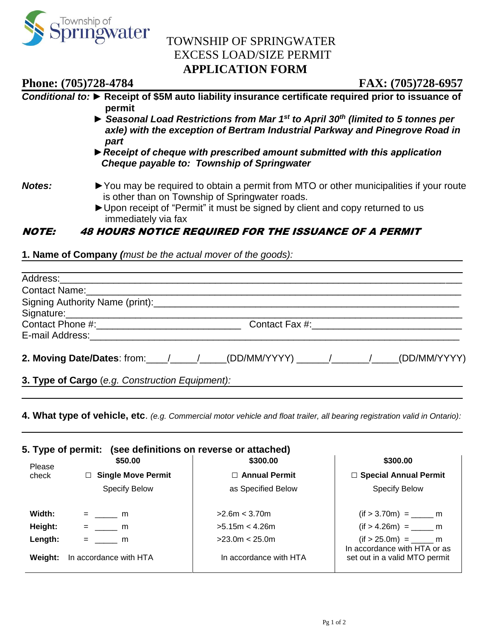

## TOWNSHIP OF SPRINGWATER EXCESS LOAD/SIZE PERMIT **APPLICATION FORM**

**Phone: (705)728-4784 FAX: (705)728-6957**

### *Conditional to: ►* **Receipt of \$5M auto liability insurance certificate required prior to issuance of permit** *► Seasonal Load Restrictions from Mar 1st to April 30th (limited to 5 tonnes per axle) with the exception of Bertram Industrial Parkway and Pinegrove Road in part ►Receipt of cheque with prescribed amount submitted with this application Cheque payable to: Township of Springwater Notes:* ► ► You may be required to obtain a permit from MTO or other municipalities if your route is other than on Township of Springwater roads. ►Upon receipt of "Permit" it must be signed by client and copy returned to us immediately via fax

### NOTE: 48 HOURS NOTICE REQUIRED FOR THE ISSUANCE OF A PERMIT

**1. Name of Company** *(must be the actual mover of the goods):* 

| 3. Type of Cargo (e.g. Construction Equipment): <b>2.1. Construction Construction Construction</b> |  |  |
|----------------------------------------------------------------------------------------------------|--|--|

**4. What type of vehicle, etc**. *(e.g. Commercial motor vehicle and float trailer, all bearing registration valid in Ontario):*

| 5. Type of permit: (see definitions on reverse or attached) |                           |                        |                                                               |  |  |  |  |
|-------------------------------------------------------------|---------------------------|------------------------|---------------------------------------------------------------|--|--|--|--|
| Please                                                      | \$50.00                   | \$300.00               | \$300.00                                                      |  |  |  |  |
| check                                                       | $\Box$ Single Move Permit | $\Box$ Annual Permit   | □ Special Annual Permit                                       |  |  |  |  |
|                                                             | <b>Specify Below</b>      | as Specified Below     | <b>Specify Below</b>                                          |  |  |  |  |
| Width:                                                      | $=$ m                     | >2.6m < 3.70m          |                                                               |  |  |  |  |
| Height:                                                     | $=$ m                     | >5.15m < 4.26m         |                                                               |  |  |  |  |
| Length:                                                     | $=$ m                     | >23.0m < 25.0m         |                                                               |  |  |  |  |
| Weight:                                                     | In accordance with HTA    | In accordance with HTA | In accordance with HTA or as<br>set out in a valid MTO permit |  |  |  |  |